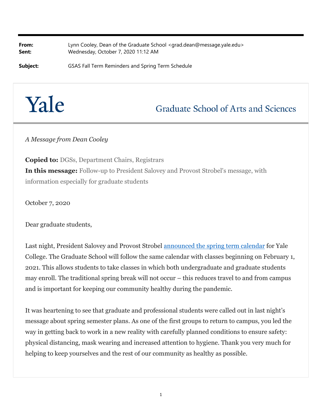**From:** Lynn Cooley, Dean of the Graduate School <grad.dean@message.yale.edu> **Sent:** Wednesday, October 7, 2020 11:12 AM

**Subject:** GSAS Fall Term Reminders and Spring Term Schedule

## Yale

## **Graduate School of Arts and Sciences**

*A Message from Dean Cooley*

**Copied to:** DGSs, Department Chairs, Registrars **In this message:** Follow-up to President Salovey and Provost Strobel's message, with information especially for graduate students

October 7, 2020

Dear graduate students,

Last night, President Salovey and Provost Strobel [announced the spring term calendar](https://covid19.yale.edu/community-messages/plans-spring-semester) for Yale College. The Graduate School will follow the same calendar with classes beginning on February 1, 2021. This allows students to take classes in which both undergraduate and graduate students may enroll. The traditional spring break will not occur – this reduces travel to and from campus and is important for keeping our community healthy during the pandemic.

It was heartening to see that graduate and professional students were called out in last night's message about spring semester plans. As one of the first groups to return to campus, you led the way in getting back to work in a new reality with carefully planned conditions to ensure safety: physical distancing, mask wearing and increased attention to hygiene. Thank you very much for helping to keep yourselves and the rest of our community as healthy as possible.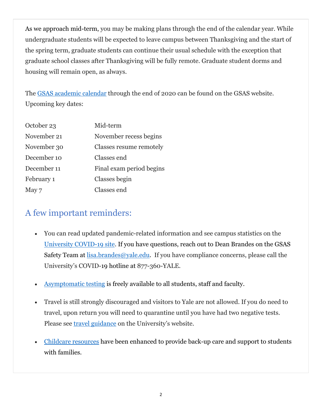As we approach mid-term, you may be making plans through the end of the calendar year. While undergraduate students will be expected to leave campus between Thanksgiving and the start of the spring term, graduate students can continue their usual schedule with the exception that graduate school classes after Thanksgiving will be fully remote. Graduate student dorms and housing will remain open, as always.

The GSAS academic calendar through the end of 2020 can be found on the GSAS website. Upcoming key dates:

| October 23  | Mid-term                 |
|-------------|--------------------------|
| November 21 | November recess begins   |
| November 30 | Classes resume remotely  |
| December 10 | Classes end              |
| December 11 | Final exam period begins |
| February 1  | Classes begin            |
| May 7       | Classes end              |

## A few important reminders:

- You can read updated pandemic-related information and see campus statistics on the University COVID-19 site. If you have questions, reach out to Dean Brandes on the GSAS Safety Team at lisa.brandes@yale.edu. If you have compliance concerns, please call the University's COVID-19 hotline at 877-360-YALE.
- [Asymptomatic testing](https://covid19.yale.edu/health/screening-program/screening-program-faculty-staff-and-graduate-and-professional-students) is freely available to all students, staff and faculty.
- Travel is still strongly discouraged and visitors to Yale are not allowed. If you do need to travel, upon return you will need to quarantine until you have had two negative tests. Please see [travel guidance](https://covid19.yale.edu/travel-guidelines) on the University's website.
- [Childcare resources h](https://your.yale.edu/work-yale/benefits/work-life-and-childcare/parenting/covid-19-childcare-resources)ave been enhanced to provide back-up care and support to students with families.